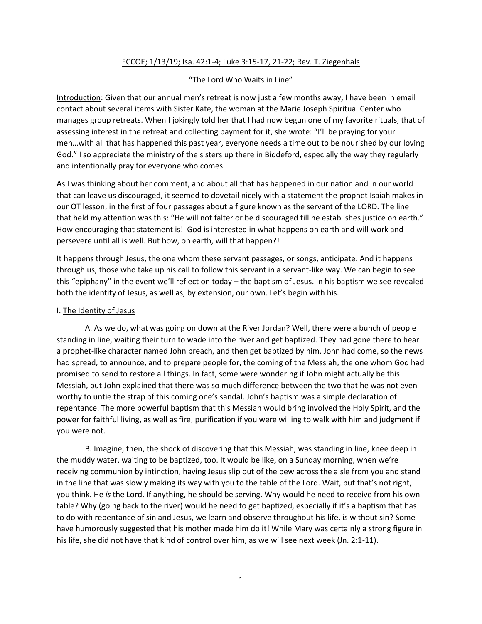## FCCOE; 1/13/19; Isa. 42:1-4; Luke 3:15-17, 21-22; Rev. T. Ziegenhals

## "The Lord Who Waits in Line"

Introduction: Given that our annual men's retreat is now just a few months away, I have been in email contact about several items with Sister Kate, the woman at the Marie Joseph Spiritual Center who manages group retreats. When I jokingly told her that I had now begun one of my favorite rituals, that of assessing interest in the retreat and collecting payment for it, she wrote: "I'll be praying for your men…with all that has happened this past year, everyone needs a time out to be nourished by our loving God." I so appreciate the ministry of the sisters up there in Biddeford, especially the way they regularly and intentionally pray for everyone who comes.

As I was thinking about her comment, and about all that has happened in our nation and in our world that can leave us discouraged, it seemed to dovetail nicely with a statement the prophet Isaiah makes in our OT lesson, in the first of four passages about a figure known as the servant of the LORD. The line that held my attention was this: "He will not falter or be discouraged till he establishes justice on earth." How encouraging that statement is! God is interested in what happens on earth and will work and persevere until all is well. But how, on earth, will that happen?!

It happens through Jesus, the one whom these servant passages, or songs, anticipate. And it happens through us, those who take up his call to follow this servant in a servant-like way. We can begin to see this "epiphany" in the event we'll reflect on today – the baptism of Jesus. In his baptism we see revealed both the identity of Jesus, as well as, by extension, our own. Let's begin with his.

## I. The Identity of Jesus

A. As we do, what was going on down at the River Jordan? Well, there were a bunch of people standing in line, waiting their turn to wade into the river and get baptized. They had gone there to hear a prophet-like character named John preach, and then get baptized by him. John had come, so the news had spread, to announce, and to prepare people for, the coming of the Messiah, the one whom God had promised to send to restore all things. In fact, some were wondering if John might actually be this Messiah, but John explained that there was so much difference between the two that he was not even worthy to untie the strap of this coming one's sandal. John's baptism was a simple declaration of repentance. The more powerful baptism that this Messiah would bring involved the Holy Spirit, and the power for faithful living, as well as fire, purification if you were willing to walk with him and judgment if you were not.

B. Imagine, then, the shock of discovering that this Messiah, was standing in line, knee deep in the muddy water, waiting to be baptized, too. It would be like, on a Sunday morning, when we're receiving communion by intinction, having Jesus slip out of the pew across the aisle from you and stand in the line that was slowly making its way with you to the table of the Lord. Wait, but that's not right, you think. He *is* the Lord. If anything, he should be serving. Why would he need to receive from his own table? Why (going back to the river) would he need to get baptized, especially if it's a baptism that has to do with repentance of sin and Jesus, we learn and observe throughout his life, is without sin? Some have humorously suggested that his mother made him do it! While Mary was certainly a strong figure in his life, she did not have that kind of control over him, as we will see next week (Jn. 2:1-11).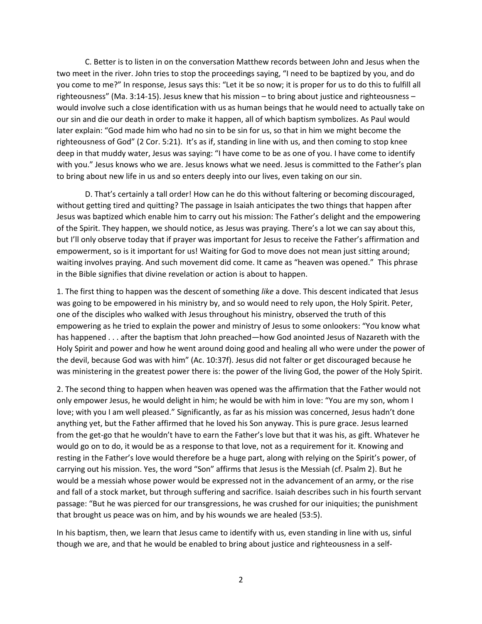C. Better is to listen in on the conversation Matthew records between John and Jesus when the two meet in the river. John tries to stop the proceedings saying, "I need to be baptized by you, and do you come to me?" In response, Jesus says this: "Let it be so now; it is proper for us to do this to fulfill all righteousness" (Ma. 3:14-15). Jesus knew that his mission – to bring about justice and righteousness – would involve such a close identification with us as human beings that he would need to actually take on our sin and die our death in order to make it happen, all of which baptism symbolizes. As Paul would later explain: "God made him who had no sin to be sin for us, so that in him we might become the righteousness of God" (2 Cor. 5:21). It's as if, standing in line with us, and then coming to stop knee deep in that muddy water, Jesus was saying: "I have come to be as one of you. I have come to identify with you." Jesus knows who we are. Jesus knows what we need. Jesus is committed to the Father's plan to bring about new life in us and so enters deeply into our lives, even taking on our sin.

D. That's certainly a tall order! How can he do this without faltering or becoming discouraged, without getting tired and quitting? The passage in Isaiah anticipates the two things that happen after Jesus was baptized which enable him to carry out his mission: The Father's delight and the empowering of the Spirit. They happen, we should notice, as Jesus was praying. There's a lot we can say about this, but I'll only observe today that if prayer was important for Jesus to receive the Father's affirmation and empowerment, so is it important for us! Waiting for God to move does not mean just sitting around; waiting involves praying. And such movement did come. It came as "heaven was opened." This phrase in the Bible signifies that divine revelation or action is about to happen.

1. The first thing to happen was the descent of something *like* a dove. This descent indicated that Jesus was going to be empowered in his ministry by, and so would need to rely upon, the Holy Spirit. Peter, one of the disciples who walked with Jesus throughout his ministry, observed the truth of this empowering as he tried to explain the power and ministry of Jesus to some onlookers: "You know what has happened . . . after the baptism that John preached—how God anointed Jesus of Nazareth with the Holy Spirit and power and how he went around doing good and healing all who were under the power of the devil, because God was with him" (Ac. 10:37f). Jesus did not falter or get discouraged because he was ministering in the greatest power there is: the power of the living God, the power of the Holy Spirit.

2. The second thing to happen when heaven was opened was the affirmation that the Father would not only empower Jesus, he would delight in him; he would be with him in love: "You are my son, whom I love; with you I am well pleased." Significantly, as far as his mission was concerned, Jesus hadn't done anything yet, but the Father affirmed that he loved his Son anyway. This is pure grace. Jesus learned from the get-go that he wouldn't have to earn the Father's love but that it was his, as gift. Whatever he would go on to do, it would be as a response to that love, not as a requirement for it. Knowing and resting in the Father's love would therefore be a huge part, along with relying on the Spirit's power, of carrying out his mission. Yes, the word "Son" affirms that Jesus is the Messiah (cf. Psalm 2). But he would be a messiah whose power would be expressed not in the advancement of an army, or the rise and fall of a stock market, but through suffering and sacrifice. Isaiah describes such in his fourth servant passage: "But he was pierced for our transgressions, he was crushed for our iniquities; the punishment that brought us peace was on him, and by his wounds we are healed (53:5).

In his baptism, then, we learn that Jesus came to identify with us, even standing in line with us, sinful though we are, and that he would be enabled to bring about justice and righteousness in a self